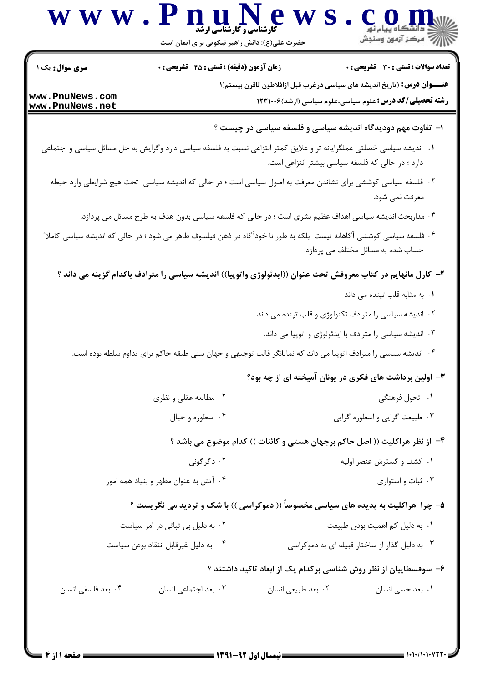|                        | حضرت علی(ع): دانش راهبر نیکویی برای ایمان است                                                                         |                                                                            | ڪ دانشڪاه پيام نور<br>  /> مرکز آزمون وسنڊش                                     |  |
|------------------------|-----------------------------------------------------------------------------------------------------------------------|----------------------------------------------------------------------------|---------------------------------------------------------------------------------|--|
| <b>سری سوال :</b> یک ۱ | <b>زمان آزمون (دقیقه) : تستی : 45 قشریحی : 0</b>                                                                      |                                                                            | تعداد سوالات : تستى : 30 قشريحى : 0                                             |  |
| www.PnuNews.com        |                                                                                                                       |                                                                            | <b>عنــــوان درس:</b> (تاریخ اندیشه های سیاسی درغرب قبل ازافلاطون تاقرن بیستم(۱ |  |
| www.PnuNews.net        |                                                                                                                       |                                                                            | <b>رشته تحصیلی/کد درس:</b> علوم سیاسی،علوم سیاسی (ارشد)۱۲۳۱۰۰۶                  |  |
|                        |                                                                                                                       | <b>ا</b> – تفاوت مهم دودیدگاه اندیشه سیاسی و فلسفه سیاسی در چیست ؟         |                                                                                 |  |
|                        | ۰۱ اندیشه سیاسی خصلتی عملگرایانه تر و علایق کمتر انتزاعی نسبت به فلسفه سیاسی دارد وگرایش به حل مسائل سیاسی و اجتماعی  | دارد ؛ در حالی که فلسفه سیاسی بیشتر انتزاعی است.                           |                                                                                 |  |
|                        | ۰۲ فلسفه سیاسی کوششی برای نشاندن معرفت به اصول سیاسی است ؛ در حالی که اندیشه سیاسی تحت هیچ شرایطی وارد حیطه           |                                                                            | معرفت نمي شود.                                                                  |  |
|                        | ۰۳ مداربحث اندیشه سیاسی اهداف عظیم بشری است ؛ در حالی که فلسفه سیاسی بدون هدف به طرح مسائل می پردازد.                 |                                                                            |                                                                                 |  |
|                        | ۰۴ فلسفه سیاسی کوششی آگاهانه نیست  بلکه به طور نا خودآگاه در ذهن فیلسوف ظاهر می شود ؛ در حالی که اندیشه سیاسی کاملا ّ |                                                                            | حساب شده به مسائل مختلف می پردازد.                                              |  |
|                        | ۲– کارل مانهایم در کتاب معروفش تحت عنوان ((ایدئولوژی واتوپیا)) اندیشه سیاسی را مترادف باکدام گزینه می داند ؟          |                                                                            |                                                                                 |  |
|                        |                                                                                                                       |                                                                            | ۰۱ به مثابه قلب تپنده می داند                                                   |  |
|                        |                                                                                                                       | ۰۲ اندیشه سیاسی را مترادف تکنولوژی و قلب تپنده می داند                     |                                                                                 |  |
|                        |                                                                                                                       |                                                                            | ۰۳ اندیشه سیاسی را مترادف با ایدئولوژی و اتوپیا می داند.                        |  |
|                        | ۰۴ اندیشه سیاسی را مترادف اتوپیا می داند که نمایانگر قالب توجیهی و جهان بینی طبقه حاکم برای تداوم سلطه بوده است.      |                                                                            |                                                                                 |  |
|                        |                                                                                                                       | ۳- اولین برداشت های فکری در یونان آمیخته ای از چه بود؟                     |                                                                                 |  |
|                        | ۰۲ مطالعه عقلی و نظری                                                                                                 |                                                                            | ۰۱ تحول فرهنگی                                                                  |  |
|                        | ۰۴ اسطوره و خيال                                                                                                      |                                                                            | ۰۳ طبیعت گرایی و اسطوره گرایی                                                   |  |
|                        |                                                                                                                       | ۴- از نظر هراکلیت (( اصل حاکم برجهان هستی و کائنات )) کدام موضوع می باشد ؟ |                                                                                 |  |
|                        | ۰۲ دگرگونی                                                                                                            |                                                                            | ۰۱ کشف و گسترش عنصر اولیه                                                       |  |
|                        | ۰۴ آتش به عنوان مظهر و بنیاد همه امور                                                                                 |                                                                            | ۰۳ ثبات و استواری                                                               |  |
|                        | ۵– چرا ً هراکلیت به پدیده های سیاسی مخصوصاً (( دموکراسی )) با شک و تردید می نگریست ؟                                  |                                                                            |                                                                                 |  |
|                        | ۰۲ به دلیل بی ثباتی در امر سیاست                                                                                      |                                                                            | ٠١. به دليل كم اهميت بودن طبيعت                                                 |  |
|                        | ۴. به دلیل غیرقابل انتقاد بودن سیاست                                                                                  |                                                                            | ۰۳ به دلیل گذار از ساختار قبیله ای به دموکراسی                                  |  |
|                        |                                                                                                                       | ۶– سوفسطاییان از نظر روش شناسی برکدام یک از ابعاد تاکید داشتند ؟           |                                                                                 |  |
| ۰۴ بعد فلسفي انسان     | ۰۳ بعد اجتماعی انسان                                                                                                  | ۰۲ بعد طبیعی انسان                                                         | ٠١. بعد حسى انسان                                                               |  |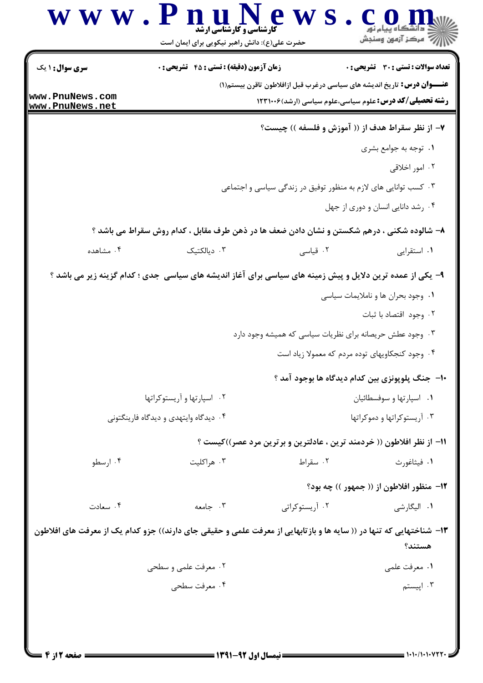| سری سوال: ۱ یک                     | <b>زمان آزمون (دقیقه) : تستی : 45 گشریحی : 0</b>                                                                                            |                                                                                                                                                                                                                                          | <b>تعداد سوالات : تستی : 30 ٪ تشریحی : 0</b>                                                                             |
|------------------------------------|---------------------------------------------------------------------------------------------------------------------------------------------|------------------------------------------------------------------------------------------------------------------------------------------------------------------------------------------------------------------------------------------|--------------------------------------------------------------------------------------------------------------------------|
| www.PnuNews.com<br>www.PnuNews.net |                                                                                                                                             | <b>عنــــوان درس:</b> تاریخ اندیشه های سیاسی درغرب قبل ازافلاطون تاقرن بیستم(۱)<br><b>رشته تحصیلی/کد درس:</b> علوم سیاسی،علوم سیاسی (ارشد)۱۲۳۱۰۰۶                                                                                        |                                                                                                                          |
|                                    |                                                                                                                                             | ۷- از نظر سقراط هدف از (( آموزش و فلسفه )) چیست؟                                                                                                                                                                                         |                                                                                                                          |
|                                    |                                                                                                                                             |                                                                                                                                                                                                                                          | ۰۱ توجه به جوامع بشری                                                                                                    |
|                                    |                                                                                                                                             |                                                                                                                                                                                                                                          | ۰۲ امور اخلاقی                                                                                                           |
|                                    |                                                                                                                                             | ۰۳ کسب توانایی های لازم به منظور توفیق در زندگی سیاسی و اجتماعی                                                                                                                                                                          |                                                                                                                          |
|                                    |                                                                                                                                             |                                                                                                                                                                                                                                          | ۰۴ رشد دانایی انسان و دوری از جهل                                                                                        |
|                                    | ۸– شالوده شکنی ، درهم شکستن و نشان دادن ضعف ها در ذهن طرف مقابل ، کدام روش سقراط می باشد ؟                                                  |                                                                                                                                                                                                                                          |                                                                                                                          |
| ۰۴ مشاهده                          | ۰۳ دیالکتیک                                                                                                                                 | ۰۲ قیاسی                                                                                                                                                                                                                                 | ۰۱ استقرایی                                                                                                              |
|                                    | ۰۲ اسپارتها و آریستوکراتها<br>۰۴ دیدگاه وایتهدی و دیدگاه فارینگتونی                                                                         | ۰۳ وجود عطش حریصانه برای نظریات سیاسی که همیشه وجود دارد<br>۰۴ وجود کنجکاویهای توده مردم که معمولا زیاد است<br>∙ا−  جنگ پلوپونزی بین کدام دیدگاه ها بوجود آمد ؟<br>11- از نظر افلاطون (( خردمند ترین ، عادلترین و برترین مرد عصر))کیست ؟ | ٠١. وجود بحران ها و ناملايمات سياسي<br>۰۲ وجود اقتصاد با ثبات<br>۰۱ اسپارتها و سوفسطائيان<br>۰۳ آریستوکراتها و دموکراتها |
| ۰۴ ارسطو                           | ۰۳ هراکلیت                                                                                                                                  | ۰۲ سقراط                                                                                                                                                                                                                                 | ٠١ فيثاغورث<br><b>۱۲</b> - منظور افلاطون از (( جمهور )) چه بود؟                                                          |
| ۰۴ سعادت                           | ۰۳ جامعه                                                                                                                                    | ۰۲ آریستوکرات <i>ی</i>                                                                                                                                                                                                                   | ۰۱ الیگارش <i>ی</i>                                                                                                      |
|                                    | ۱۳– شناختهایی که تنها در (( سایه ها و بازتابهایی از معرفت علمی و حقیقی جای دارند)) جزو کدام یک از معرفت های افلاطون<br>۰۲ معرفت علمی و سطحی |                                                                                                                                                                                                                                          | هستند؟<br>٠١. معرفت علمي                                                                                                 |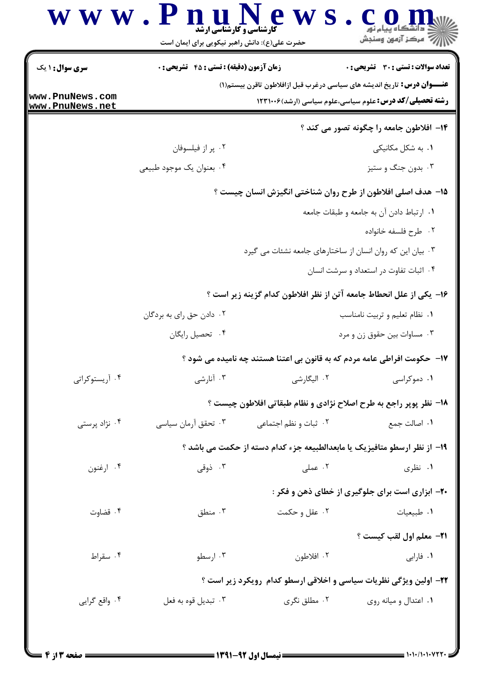|                        | حضرت علی(ع): دانش راهبر نیکویی برای ایمان است    |                                                            |                                                                                                                                                    |
|------------------------|--------------------------------------------------|------------------------------------------------------------|----------------------------------------------------------------------------------------------------------------------------------------------------|
| <b>سری سوال : ۱ یک</b> | <b>زمان آزمون (دقیقه) : تستی : 45 گشریحی : 0</b> |                                                            | <b>تعداد سوالات : تستی : 30 ٪ تشریحی : 0</b>                                                                                                       |
| www.PnuNews.com        |                                                  |                                                            | <b>عنــــوان درس:</b> تاریخ اندیشه های سیاسی درغرب قبل ازافلاطون تاقرن بیستم(۱)<br><b>رشته تحصیلی/کد درس:</b> علوم سیاسی،علوم سیاسی (ارشد) ۱۲۳۱۰۰۶ |
| www.PnuNews.net        |                                                  |                                                            |                                                                                                                                                    |
|                        |                                                  |                                                            | ۱۴– افلاطون جامعه را چگونه تصور می کند ؟                                                                                                           |
|                        | ۰۲ پر از فیلسوفان                                |                                                            | ۰۱. به شکل مکانیکی                                                                                                                                 |
|                        | ۰۴ بعنوان یک موجود طبیعی                         |                                                            | ۰۳ بدون جنگ و ستيز                                                                                                                                 |
|                        |                                                  |                                                            | 1۵- هدف اصلی افلاطون از طرح روان شناختی انگیزش انسان چیست ؟                                                                                        |
|                        |                                                  |                                                            | ٠١. ارتباط دادن آن به جامعه و طبقات جامعه                                                                                                          |
|                        |                                                  |                                                            | ۰۲ طرح فلسفه خانواده                                                                                                                               |
|                        |                                                  | ۰۳ بیان این که روان انسان از ساختارهای جامعه نشئات می گیرد |                                                                                                                                                    |
|                        |                                                  |                                                            | ۰۴ اثبات تفاوت در استعداد و سرشت انسان                                                                                                             |
|                        |                                                  |                                                            | ۱۶– یکی از علل انحطاط جامعه آتن از نظر افلاطون کدام گزینه زیر است ؟                                                                                |
|                        | ۰۲ دادن حق رای به بردگان                         |                                                            | ٠١ نظام تعليم و تربيت نامناسب                                                                                                                      |
|                        | ۰۴ تحصیل رایگان                                  |                                                            | ۰۳ مساوات بین حقوق زن و مرد                                                                                                                        |
|                        |                                                  |                                                            | <b>۱۷</b> - حکومت افراطی عامه مردم که به قانون بی اعتنا هستند چه نامیده می شود ؟                                                                   |
| ۰۴ آریستوکراتی         | ۰۳ آنارشی                                        | ۰۲ الیگارشی                                                | ۰۱ دموکراسی                                                                                                                                        |
|                        |                                                  |                                                            | ۱۸- نظر پوپر راجع به طرح اصلاح نژادی و نظام طبقاتی افلاطون چیست ؟                                                                                  |
| ۰۴ نژاد پرستی          | ۰۳ تحقق آرمان سیاسی                              | ۰۲ ثبات و نظم اجتماعی                                      | ٠١. اصالت جمع                                                                                                                                      |
|                        |                                                  |                                                            | ۱۹– از نظر ارسطو متافیزیک یا مابعدالطبیعه جزء کدام دسته از حکمت می باشد ؟                                                                          |
| ۰۴ ارغنون              | ۰۳ ذوقی                                          | ۰۲ عملی                                                    | ۰۱ نظری                                                                                                                                            |
|                        |                                                  |                                                            | <b>۲۰</b> - ابزاری است برای جلوگیری از خطای ذهن و فکر :                                                                                            |
| ۰۴ قضاوت               | ۰۳ منطق                                          | ۰۲ عقل و حکمت                                              | ۰۱ طبیعیات                                                                                                                                         |
|                        |                                                  |                                                            | <b>٢١- معلم اول لقب كيست ؟</b>                                                                                                                     |
| ۰۴ سقراط               | ۰۳ ارسطو                                         | ۰۲ افلاطون                                                 | ٠١ فارابي                                                                                                                                          |
|                        |                                                  |                                                            | ۲۲- اولین ویژگی نظریات سیاسی و اخلاقی ارسطو کدام رویکرد زیر است ؟                                                                                  |
| ۰۴ واقع گرايي          | ۰۳ تبديل قوه به فعل                              | ۰۲ مطلق نگری                                               | ۰۱ اعتدال و میانه روی                                                                                                                              |